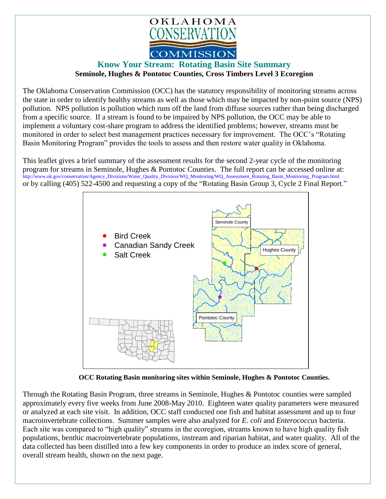

## **Know Your Stream: Rotating Basin Site Summary Seminole, Hughes & Pontotoc Counties, Cross Timbers Level 3 Ecoregion**

The Oklahoma Conservation Commission (OCC) has the statutory responsibility of monitoring streams across the state in order to identify healthy streams as well as those which may be impacted by non-point source (NPS) pollution. NPS pollution is pollution which runs off the land from diffuse sources rather than being discharged from a specific source. If a stream is found to be impaired by NPS pollution, the OCC may be able to implement a voluntary cost-share program to address the identified problems; however, streams must be monitored in order to select best management practices necessary for improvement. The OCC's "Rotating Basin Monitoring Program" provides the tools to assess and then restore water quality in Oklahoma.

This leaflet gives a brief summary of the assessment results for the second 2-year cycle of the monitoring program for streams in Seminole, Hughes & Pontotoc Counties. The full report can be accessed online at: [http://www.ok.gov/conservation/Agency\\_Divisions/Water\\_Quality\\_Division/WQ\\_Monitoring/WQ\\_Assessment\\_Rotating\\_Basin\\_Monitoring\\_Program.html](http://www.ok.gov/conservation/Agency_Divisions/Water_Quality_Division/WQ_Monitoring/WQ_Assessment_Rotating_Basin_Monitoring_Program.html)  or by calling (405) 522-4500 and requesting a copy of the "Rotating Basin Group 3, Cycle 2 Final Report."



**OCC Rotating Basin monitoring sites within Seminole, Hughes & Pontotoc Counties.**

Through the Rotating Basin Program, three streams in Seminole, Hughes & Pontotoc counties were sampled approximately every five weeks from June 2008-May 2010. Eighteen water quality parameters were measured or analyzed at each site visit. In addition, OCC staff conducted one fish and habitat assessment and up to four macroinvertebrate collections. Summer samples were also analyzed for *E. coli* and *Enterococcus* bacteria. Each site was compared to "high quality" streams in the ecoregion, streams known to have high quality fish populations, benthic macroinvertebrate populations, instream and riparian habitat, and water quality. All of the data collected has been distilled into a few key components in order to produce an index score of general, overall stream health, shown on the next page.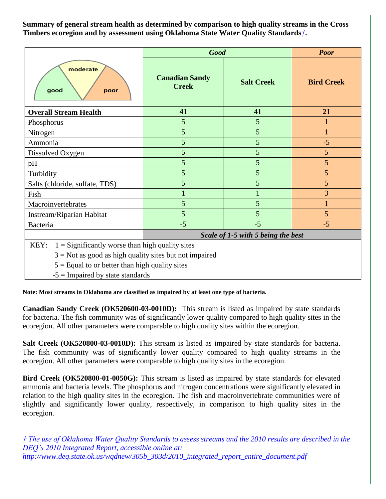**Summary of general stream health as determined by comparison to high quality streams in the Cross Timbers ecoregion and by assessment using Oklahoma State Water Quality Standards***†***.**

|                                | <b>Good</b>                           |                   | <b>Poor</b>       |
|--------------------------------|---------------------------------------|-------------------|-------------------|
| moderate<br>good<br>poor       | <b>Canadian Sandy</b><br><b>Creek</b> | <b>Salt Creek</b> | <b>Bird Creek</b> |
| <b>Overall Stream Health</b>   | 41                                    | 41                | 21                |
| Phosphorus                     | 5                                     | 5                 |                   |
| Nitrogen                       | 5                                     | 5                 |                   |
| Ammonia                        | 5                                     | 5                 | $-5$              |
| Dissolved Oxygen               | 5                                     | 5                 | 5                 |
| pH                             | 5                                     | 5                 | 5                 |
| Turbidity                      | 5                                     | 5                 | 5                 |
| Salts (chloride, sulfate, TDS) | 5                                     | 5                 | 5                 |
| Fish                           |                                       |                   | 3                 |
| Macroinvertebrates             | 5                                     | 5                 |                   |
| Instream/Riparian Habitat      | 5                                     | 5                 | 5                 |
| Bacteria                       | $-5$                                  | $-5$              | $-5$              |
|                                | Scale of 1-5 with 5 being the best    |                   |                   |

KEY:  $1 =$  Significantly worse than high quality sites

 $3 =$  Not as good as high quality sites but not impaired

 $5 =$  Equal to or better than high quality sites

 $-5 =$  Impaired by state standards

**Note: Most streams in Oklahoma are classified as impaired by at least one type of bacteria.**

**Canadian Sandy Creek (OK520600-03-0010D):** This stream is listed as impaired by state standards for bacteria. The fish community was of significantly lower quality compared to high quality sites in the ecoregion. All other parameters were comparable to high quality sites within the ecoregion.

**Salt Creek (OK520800-03-0010D):** This stream is listed as impaired by state standards for bacteria. The fish community was of significantly lower quality compared to high quality streams in the ecoregion. All other parameters were comparable to high quality sites in the ecoregion.

**Bird Creek (OK520800-01-0050G):** This stream is listed as impaired by state standards for elevated ammonia and bacteria levels. The phosphorus and nitrogen concentrations were significantly elevated in relation to the high quality sites in the ecoregion. The fish and macroinvertebrate communities were of slightly and significantly lower quality, respectively, in comparison to high quality sites in the ecoregion.

*† The use of Oklahoma Water Quality Standards to assess streams and the 2010 results are described in the DEQ's 2010 Integrated Report, accessible online at: http://www.deq.state.ok.us/wqdnew/305b\_303d/2010\_integrated\_report\_entire\_document.pdf*